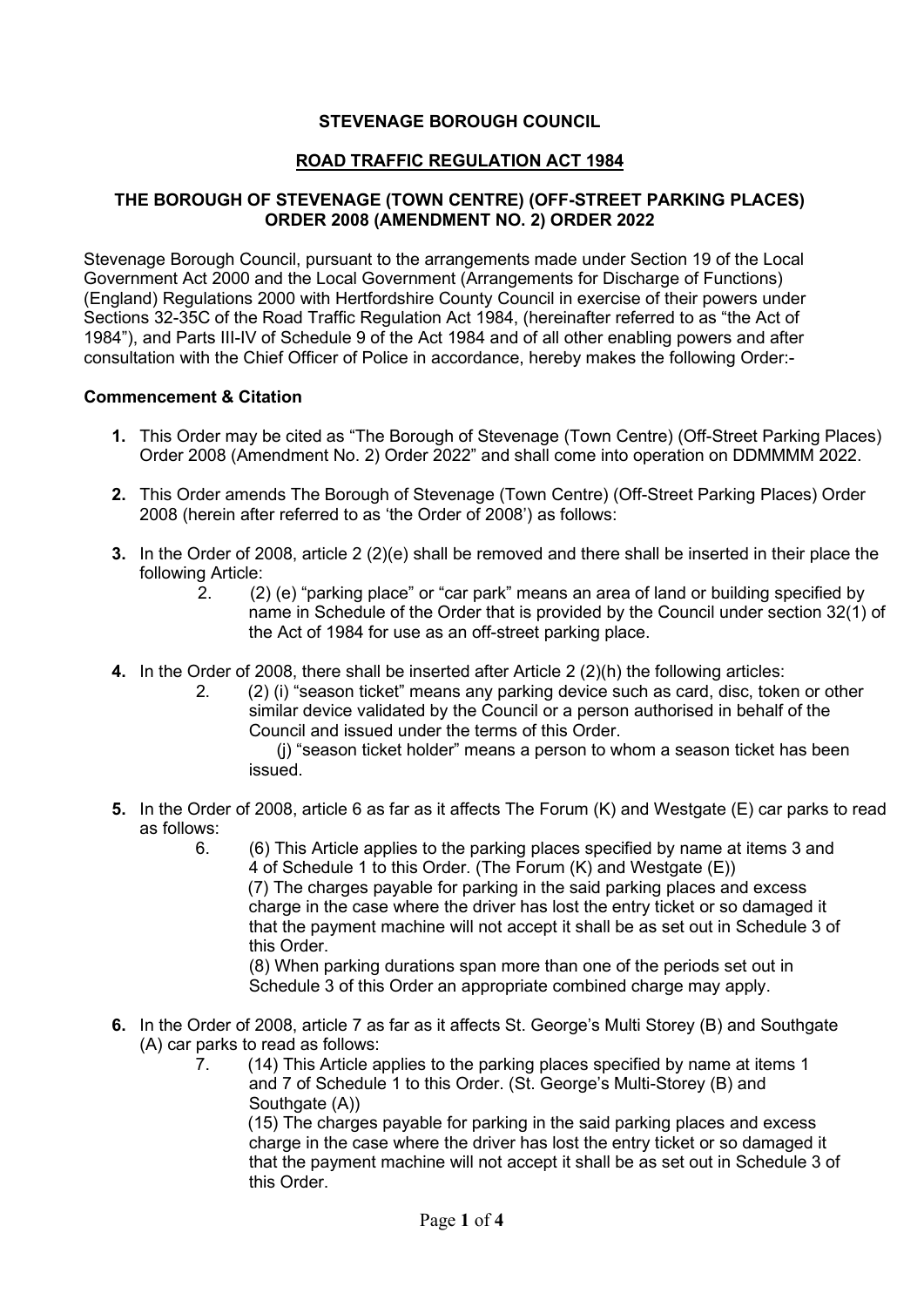## **STEVENAGE BOROUGH COUNCIL**

### **ROAD TRAFFIC REGULATION ACT 1984**

# **THE BOROUGH OF STEVENAGE (TOWN CENTRE) (OFF-STREET PARKING PLACES) ORDER 2008 (AMENDMENT NO. 2) ORDER 2022**

 Sections 32-35C of the Road Traffic Regulation Act 1984, (hereinafter referred to as "the Act of Stevenage Borough Council, pursuant to the arrangements made under Section 19 of the Local Government Act 2000 and the Local Government (Arrangements for Discharge of Functions) (England) Regulations 2000 with Hertfordshire County Council in exercise of their powers under 1984"), and Parts III-IV of Schedule 9 of the Act 1984 and of all other enabling powers and after consultation with the Chief Officer of Police in accordance, hereby makes the following Order:-

#### **Commencement & Citation**

- Order 2008 (Amendment No. 2) Order 2022" and shall come into operation on DDMMMM 2022. **1.** This Order may be cited as "The Borough of Stevenage (Town Centre) (Off-Street Parking Places)
- **2.** This Order amends The Borough of Stevenage (Town Centre) (Off-Street Parking Places) Order 2008 (herein after referred to as 'the Order of 2008') as follows:
- **3.** In the Order of 2008, article 2 (2)(e) shall be removed and there shall be inserted in their place the following Article:
	- name in Schedule of the Order that is provided by the Council under section 32(1) of 2. (2) (e) "parking place" or "car park" means an area of land or building specified by the Act of 1984 for use as an off-street parking place.
- **4.** In the Order of 2008, there shall be inserted after Article 2 (2)(h) the following articles:
	- 2. (2) (i) "season ticket" means any parking device such as card, disc, token or other similar device validated by the Council or a person authorised in behalf of the Council and issued under the terms of this Order.

(j) "season ticket holder" means a person to whom a season ticket has been issued.

- **5.** In the Order of 2008, article 6 as far as it affects The Forum (K) and Westgate (E) car parks to read as follows:
	- 6. (6) This Article applies to the parking places specified by name at items 3 and 4 of Schedule 1 to this Order. (The Forum (K) and Westgate (E)) (7) The charges payable for parking in the said parking places and excess charge in the case where the driver has lost the entry ticket or so damaged it that the payment machine will not accept it shall be as set out in Schedule 3 of this Order.

 (8) When parking durations span more than one of the periods set out in Schedule 3 of this Order an appropriate combined charge may apply.

- **6.** In the Order of 2008, article 7 as far as it affects St. George's Multi Storey (B) and Southgate (A) car parks to read as follows:
	- $\overline{7}$ (14) This Article applies to the parking places specified by name at items 1 and 7 of Schedule 1 to this Order. (St. George's Multi-Storey (B) and Southgate (A))

 that the payment machine will not accept it shall be as set out in Schedule 3 of (15) The charges payable for parking in the said parking places and excess charge in the case where the driver has lost the entry ticket or so damaged it this Order.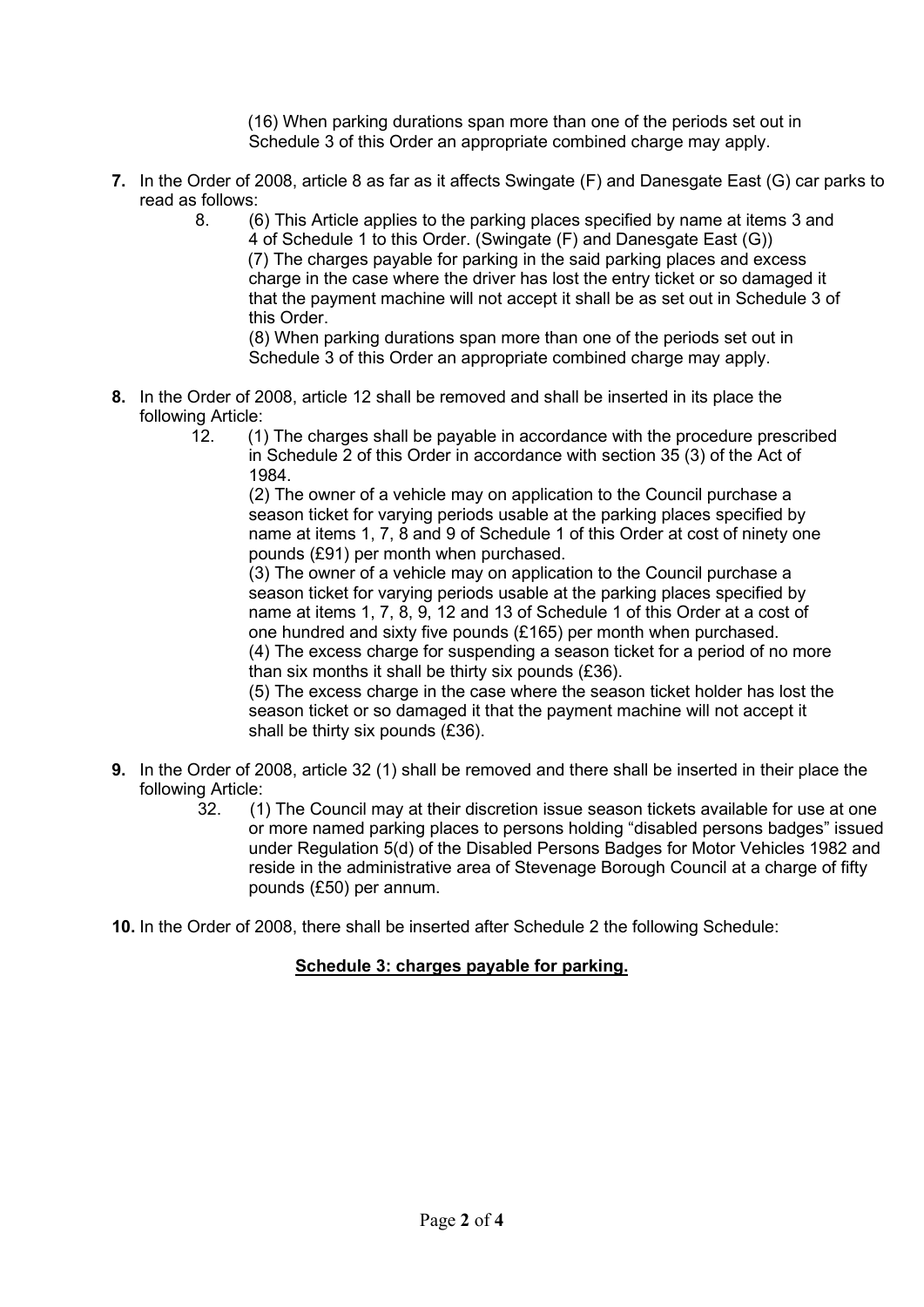(16) When parking durations span more than one of the periods set out in Schedule 3 of this Order an appropriate combined charge may apply.

- **7.** In the Order of 2008, article 8 as far as it affects Swingate (F) and Danesgate East (G) car parks to read as follows:
	- 4 of Schedule 1 to this Order. (Swingate (F) and Danesgate East (G)) 8. (6) This Article applies to the parking places specified by name at items 3 and (7) The charges payable for parking in the said parking places and excess charge in the case where the driver has lost the entry ticket or so damaged it that the payment machine will not accept it shall be as set out in Schedule 3 of this Order.

 (8) When parking durations span more than one of the periods set out in Schedule 3 of this Order an appropriate combined charge may apply.

- **8.** In the Order of 2008, article 12 shall be removed and shall be inserted in its place the following Article:
	- in Schedule 2 of this Order in accordance with section 35 (3) of the Act of 12. (1) The charges shall be payable in accordance with the procedure prescribed 1984.

 name at items 1, 7, 8 and 9 of Schedule 1 of this Order at cost of ninety one (2) The owner of a vehicle may on application to the Council purchase a season ticket for varying periods usable at the parking places specified by pounds (£91) per month when purchased.

 name at items 1, 7, 8, 9, 12 and 13 of Schedule 1 of this Order at a cost of one hundred and sixty five pounds (£165) per month when purchased. (3) The owner of a vehicle may on application to the Council purchase a season ticket for varying periods usable at the parking places specified by (4) The excess charge for suspending a season ticket for a period of no more than six months it shall be thirty six pounds (£36).

(5) The excess charge in the case where the season ticket holder has lost the season ticket or so damaged it that the payment machine will not accept it shall be thirty six pounds (£36).

- **9.** In the Order of 2008, article 32 (1) shall be removed and there shall be inserted in their place the following Article:<br>1) 32.
	- (1) The Council may at their discretion issue season tickets available for use at one or more named parking places to persons holding "disabled persons badges" issued under Regulation 5(d) of the Disabled Persons Badges for Motor Vehicles 1982 and reside in the administrative area of Stevenage Borough Council at a charge of fifty pounds (£50) per annum.

**10.** In the Order of 2008, there shall be inserted after Schedule 2 the following Schedule:

# **Schedule 3: charges payable for parking.**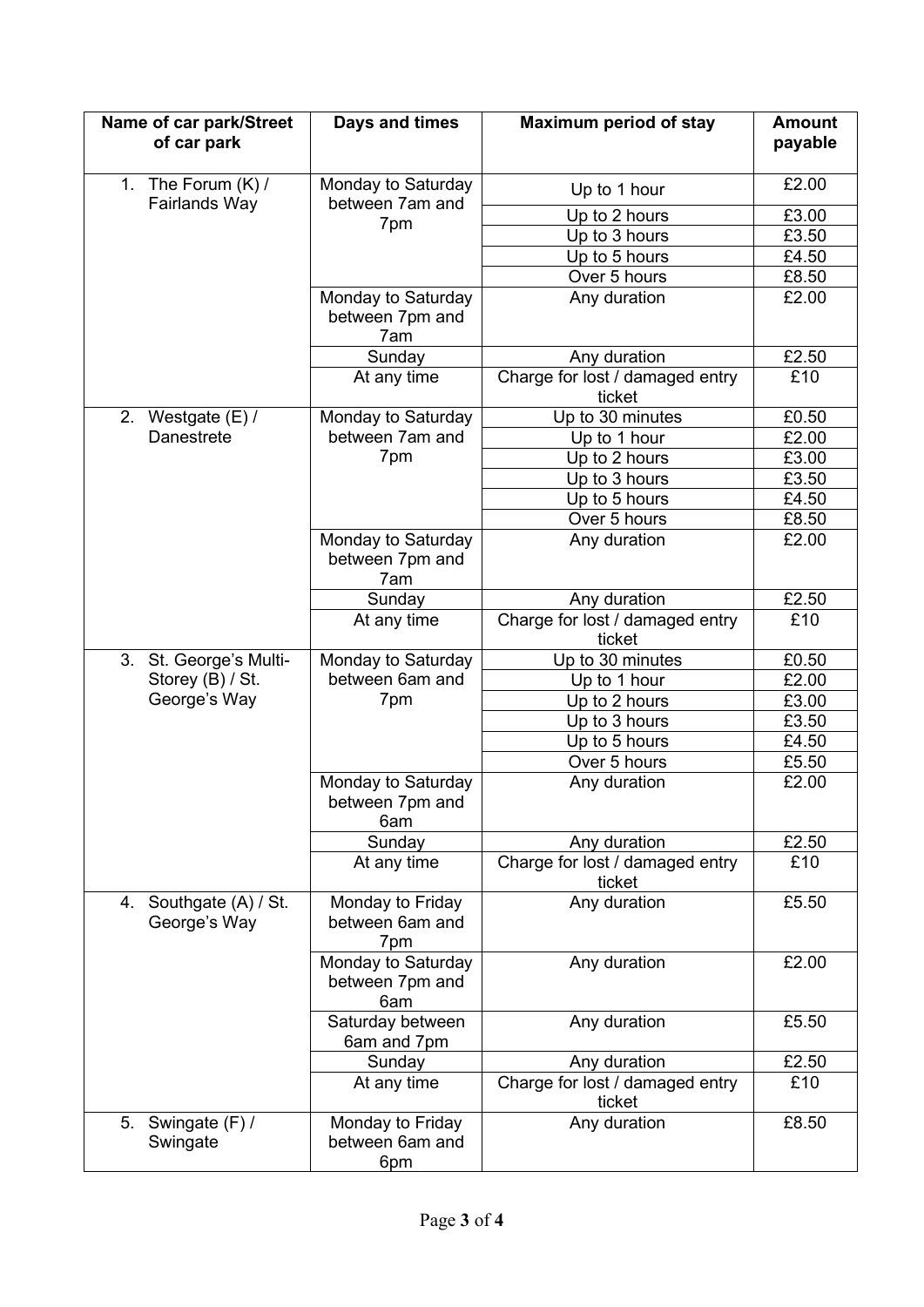| Name of car park/Street<br>of car park | Days and times                               | <b>Maximum period of stay</b>             | <b>Amount</b><br>payable |
|----------------------------------------|----------------------------------------------|-------------------------------------------|--------------------------|
| 1. The Forum $(K)$ /                   | Monday to Saturday<br>between 7am and<br>7pm | Up to 1 hour                              | £2.00                    |
| Fairlands Way                          |                                              | Up to 2 hours                             | £3.00                    |
|                                        |                                              | Up to 3 hours                             | £3.50                    |
|                                        |                                              | Up to 5 hours                             | £4.50                    |
|                                        |                                              | Over 5 hours                              | £8.50                    |
|                                        | Monday to Saturday<br>between 7pm and<br>7am | Any duration                              | £2.00                    |
|                                        | Sunday                                       | Any duration                              | £2.50                    |
|                                        | At any time                                  | Charge for lost / damaged entry<br>ticket | £10                      |
| 2. Westgate (E) /                      | Monday to Saturday                           | Up to 30 minutes                          | £0.50                    |
| Danestrete                             | between 7am and<br>7pm                       | Up to 1 hour                              | £2.00                    |
|                                        |                                              | Up to 2 hours                             | £3.00                    |
|                                        |                                              | Up to 3 hours                             | £3.50                    |
|                                        |                                              | Up to 5 hours                             | £4.50                    |
|                                        |                                              | Over 5 hours                              | £8.50                    |
|                                        | Monday to Saturday<br>between 7pm and<br>7am | Any duration                              | £2.00                    |
|                                        | Sunday                                       | Any duration                              | £2.50                    |
|                                        | At any time                                  | Charge for lost / damaged entry<br>ticket | £10                      |
| 3. St. George's Multi-                 | Monday to Saturday                           | Up to 30 minutes                          | £0.50                    |
| Storey (B) / St.                       | between 6am and<br>7pm                       | Up to 1 hour                              | £2.00                    |
| George's Way                           |                                              | Up to 2 hours                             | £3.00                    |
|                                        |                                              | Up to 3 hours                             | £3.50                    |
|                                        |                                              | Up to 5 hours                             | £4.50                    |
|                                        |                                              | Over 5 hours                              | £5.50                    |
|                                        | Monday to Saturday<br>between 7pm and<br>6am | Any duration                              | £2.00                    |
|                                        | Sunday                                       | Any duration                              | £2.50                    |
|                                        | At any time                                  | Charge for lost / damaged entry<br>ticket | £10                      |
| 4. Southgate (A) / St.<br>George's Way | Monday to Friday<br>between 6am and<br>7pm   | Any duration                              | £5.50                    |
|                                        | Monday to Saturday<br>between 7pm and<br>6am | Any duration                              | £2.00                    |
|                                        | Saturday between<br>6am and 7pm              | Any duration                              | £5.50                    |
|                                        | Sunday                                       | Any duration                              | £2.50                    |
|                                        | At any time                                  | Charge for lost / damaged entry<br>ticket | £10                      |
| Swingate (F) /<br>5.<br>Swingate       | Monday to Friday<br>between 6am and<br>6pm   | Any duration                              | £8.50                    |